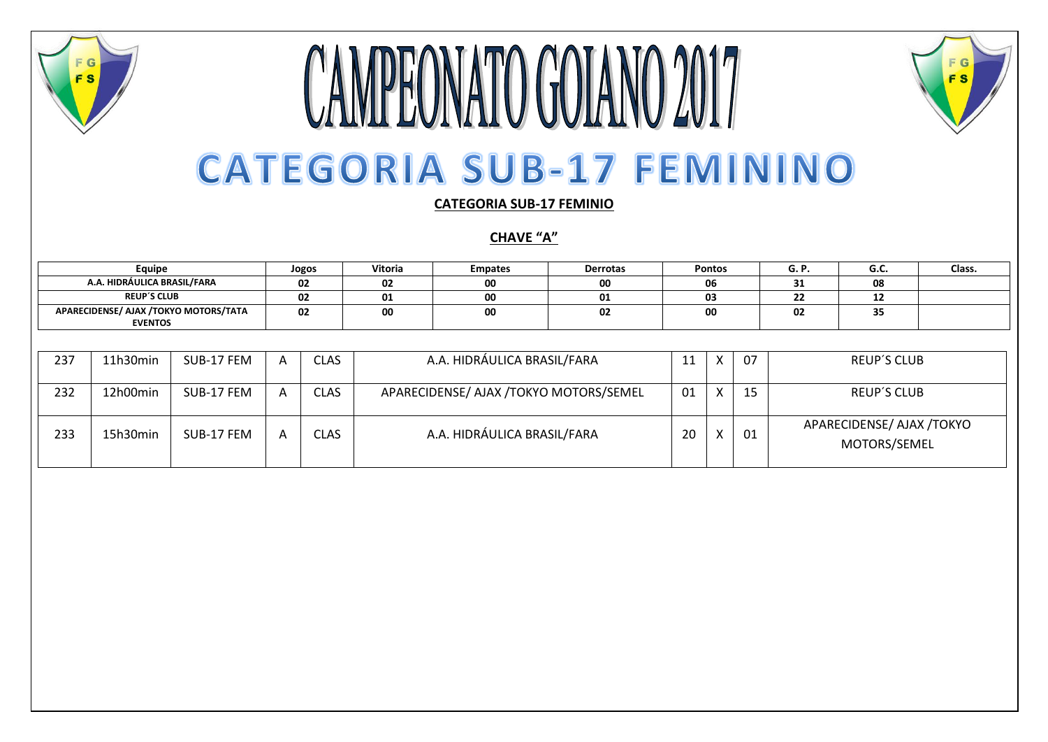

#### **CAMPEONATO GOIANO 2017 CATEGORIA SUB-17 FEMININO**

F G

**FS** 



**CHAVE "A"**

| Equipe                                                  | Jogos | <b>Vitoria</b> | <b>Empates</b> | <b>Derrotas</b> | <b>Pontos</b> | G.F                            | u.u          | Class. |
|---------------------------------------------------------|-------|----------------|----------------|-----------------|---------------|--------------------------------|--------------|--------|
| A.A. HIDRÁULICA BRASIL/FARA                             | 02    | 02             | 00             | 00              | 06            | $\overline{\phantom{a}}$<br>ᇰᆂ | 08           |        |
| <b>REUP'S CLUB</b>                                      | 02    | 01             | 00             |                 | 03            | $\ddot{\phantom{0}}$<br>--     | --           |        |
| APARECIDENSE/ AJAX /TOKYO MOTORS/TATA<br><b>EVENTOS</b> | 02    | 00             | 00             | 02              | 00            | 02                             | $\sim$<br>35 |        |

| 237 | 11h30min | SUB-17 FEM | <b>CLAS</b> | A.A. HIDRÁULICA BRASIL/FARA            |    |             | 07 | <b>REUP'S CLUB</b>                        |
|-----|----------|------------|-------------|----------------------------------------|----|-------------|----|-------------------------------------------|
| 232 | 12h00min | SUB-17 FEM | <b>CLAS</b> | APARECIDENSE/ AJAX /TOKYO MOTORS/SEMEL | 01 | $\mathbf v$ | 15 | <b>REUP'S CLUB</b>                        |
| 233 | 15h30min | SUB-17 FEM | <b>CLAS</b> | A.A. HIDRÁULICA BRASIL/FARA            | 20 |             | 01 | APARECIDENSE/ AJAX /TOKYO<br>MOTORS/SEMEL |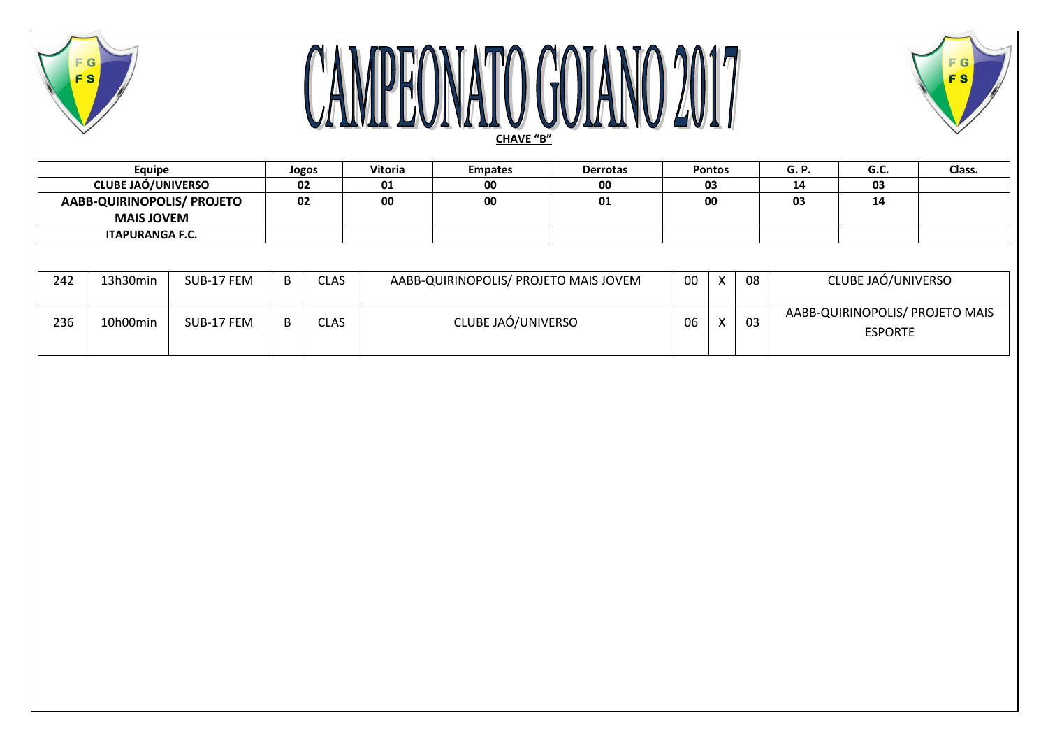

# **CAMPEONATO GOIANO 2017**



| Equipe                     | Jogos | Vitoria | <b>Empates</b> | <b>Derrotas</b> | <b>Pontos</b> | G. P. | $\sim$<br>u.c. | Class. |
|----------------------------|-------|---------|----------------|-----------------|---------------|-------|----------------|--------|
| <b>CLUBE JAO/UNIVERSO</b>  | 02    | $\sim$  | 00             | 00              | 03            | 14    | 03             |        |
| AABB-QUIRINOPOLIS/ PROJETO | 02    | 00      | 00             | 01              | 00            | 03    | 14             |        |
| <b>MAIS JOVEM</b>          |       |         |                |                 |               |       |                |        |
| <b>ITAPURANGA F.C.</b>     |       |         |                |                 |               |       |                |        |

| 242 | 13h30min | SUB-17 FEM | Ð | <b>CLAS</b> | AABB-QUIRINOPOLIS/ PROJETO MAIS JOVEM | 00 | $\lambda$ | 08 | CLUBE JAÓ/UNIVERSO                                |
|-----|----------|------------|---|-------------|---------------------------------------|----|-----------|----|---------------------------------------------------|
| 236 | 10h00min | SUB-17 FEM | Đ | <b>CLAS</b> | CLUBE JAÓ/UNIVERSO                    | 06 |           | 03 | AABB-QUIRINOPOLIS/ PROJETO MAIS<br><b>ESPORTE</b> |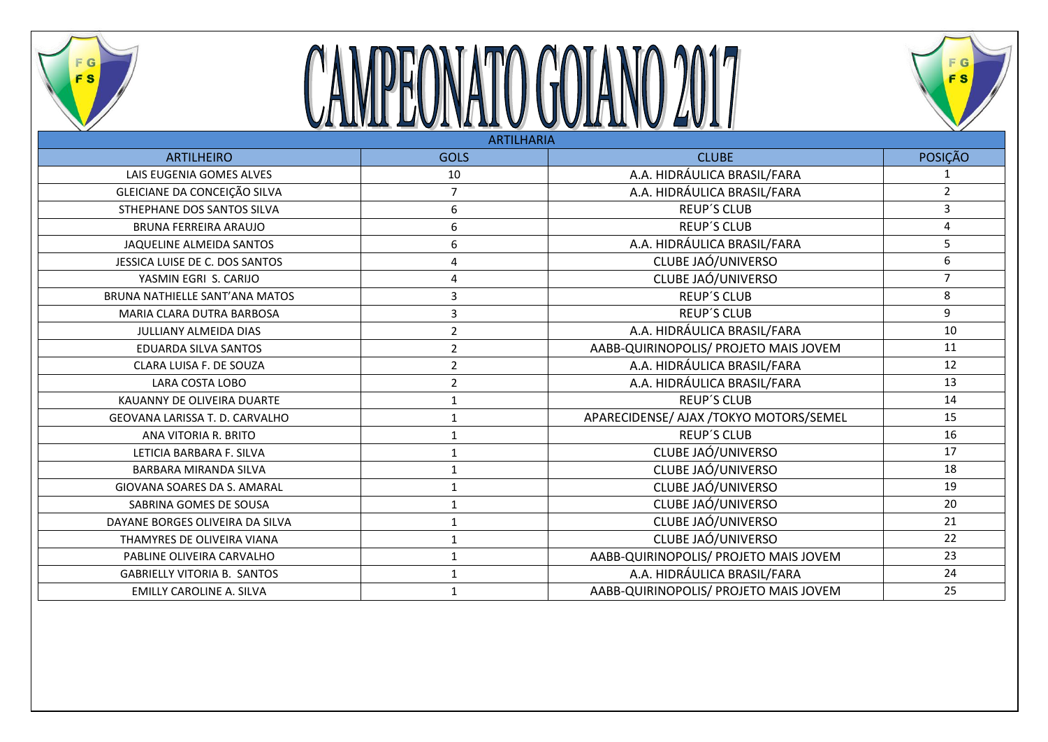

### CAMPEONATO GOIANO 2017



| <b>ARTILHARIA</b>                  |                  |                                         |                |  |  |  |  |  |  |
|------------------------------------|------------------|-----------------------------------------|----------------|--|--|--|--|--|--|
| <b>ARTILHEIRO</b>                  | <b>GOLS</b>      | <b>CLUBE</b>                            | <b>POSIÇÃO</b> |  |  |  |  |  |  |
| LAIS EUGENIA GOMES ALVES           | 10               | A.A. HIDRÁULICA BRASIL/FARA             |                |  |  |  |  |  |  |
| GLEICIANE DA CONCEIÇÃO SILVA       | $\overline{7}$   | A.A. HIDRÁULICA BRASIL/FARA             | $\overline{2}$ |  |  |  |  |  |  |
| STHEPHANE DOS SANTOS SILVA         | $\boldsymbol{6}$ | <b>REUP'S CLUB</b>                      | 3              |  |  |  |  |  |  |
| BRUNA FERREIRA ARAUJO              | 6                | <b>REUP'S CLUB</b>                      | 4              |  |  |  |  |  |  |
| JAQUELINE ALMEIDA SANTOS           | 6                | A.A. HIDRÁULICA BRASIL/FARA             | 5              |  |  |  |  |  |  |
| JESSICA LUISE DE C. DOS SANTOS     | 4                | CLUBE JAÓ/UNIVERSO                      | 6              |  |  |  |  |  |  |
| YASMIN EGRI S. CARIJO              | 4                | CLUBE JAÓ/UNIVERSO                      | $\overline{7}$ |  |  |  |  |  |  |
| BRUNA NATHIELLE SANT'ANA MATOS     | 3                | <b>REUP'S CLUB</b>                      | 8              |  |  |  |  |  |  |
| MARIA CLARA DUTRA BARBOSA          | 3                | <b>REUP'S CLUB</b>                      | 9              |  |  |  |  |  |  |
| JULLIANY ALMEIDA DIAS              | $\overline{2}$   | A.A. HIDRÁULICA BRASIL/FARA             | 10             |  |  |  |  |  |  |
| EDUARDA SILVA SANTOS               | $\overline{2}$   | AABB-QUIRINOPOLIS/ PROJETO MAIS JOVEM   | 11             |  |  |  |  |  |  |
| CLARA LUISA F. DE SOUZA            | $\overline{2}$   | A.A. HIDRÁULICA BRASIL/FARA             | 12             |  |  |  |  |  |  |
| LARA COSTA LOBO                    | $\overline{2}$   | A.A. HIDRÁULICA BRASIL/FARA             | 13             |  |  |  |  |  |  |
| KAUANNY DE OLIVEIRA DUARTE         | 1                | <b>REUP'S CLUB</b>                      | 14             |  |  |  |  |  |  |
| GEOVANA LARISSA T. D. CARVALHO     | $\mathbf 1$      | APARECIDENSE/ AJAX / TOKYO MOTORS/SEMEL | 15             |  |  |  |  |  |  |
| ANA VITORIA R. BRITO               | $\mathbf{1}$     | <b>REUP'S CLUB</b>                      | 16             |  |  |  |  |  |  |
| LETICIA BARBARA F. SILVA           | $\mathbf{1}$     | CLUBE JAÓ/UNIVERSO                      | 17             |  |  |  |  |  |  |
| BARBARA MIRANDA SILVA              | $\mathbf{1}$     | CLUBE JAÓ/UNIVERSO                      | 18             |  |  |  |  |  |  |
| GIOVANA SOARES DA S. AMARAL        | 1                | CLUBE JAÓ/UNIVERSO                      | 19             |  |  |  |  |  |  |
| SABRINA GOMES DE SOUSA             | $\mathbf{1}$     | CLUBE JAÓ/UNIVERSO                      | 20             |  |  |  |  |  |  |
| DAYANE BORGES OLIVEIRA DA SILVA    | $\mathbf{1}$     | CLUBE JAÓ/UNIVERSO                      | 21             |  |  |  |  |  |  |
| THAMYRES DE OLIVEIRA VIANA         | $\mathbf 1$      | CLUBE JAÓ/UNIVERSO                      | 22             |  |  |  |  |  |  |
| PABLINE OLIVEIRA CARVALHO          | 1                | AABB-QUIRINOPOLIS/ PROJETO MAIS JOVEM   | 23             |  |  |  |  |  |  |
| <b>GABRIELLY VITORIA B. SANTOS</b> | 1                | A.A. HIDRÁULICA BRASIL/FARA             | 24             |  |  |  |  |  |  |
| <b>EMILLY CAROLINE A. SILVA</b>    | 1                | AABB-QUIRINOPOLIS/ PROJETO MAIS JOVEM   | 25             |  |  |  |  |  |  |